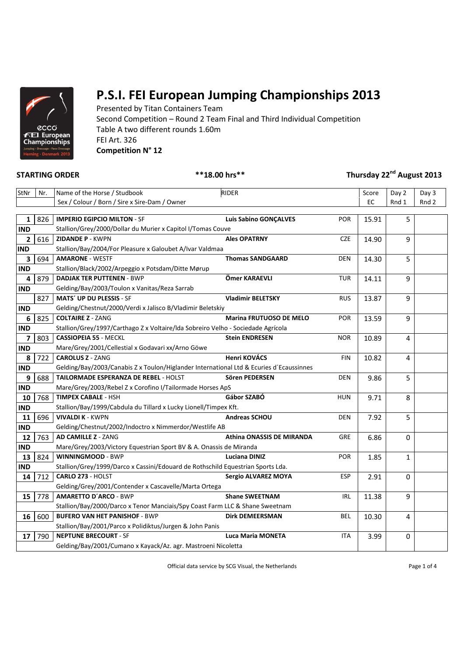

Presented by Titan Containers Team Second Competition – Round 2 Team Final and Third Individual Competition Table A two different rounds 1.60m FEI Art. 326 **Competition N° 12**

**STARTING ORDER \*\*18.00 hrs\*\* Thursday 22nd August 2013**

| StNr         | Nr. | Name of the Horse / Studbook                                                            | RIDER                        |            | Score | Day 2        | Day 3 |
|--------------|-----|-----------------------------------------------------------------------------------------|------------------------------|------------|-------|--------------|-------|
|              |     | Sex / Colour / Born / Sire x Sire-Dam / Owner                                           |                              |            | EC    | Rnd 1        | Rnd 2 |
|              |     |                                                                                         |                              |            |       |              |       |
| 1            | 826 | <b>IMPERIO EGIPCIO MILTON - SF</b>                                                      | <b>Luis Sabino GONÇALVES</b> | <b>POR</b> | 15.91 | 5            |       |
| <b>IND</b>   |     | Stallion/Grey/2000/Dollar du Murier x Capitol I/Tomas Couve                             |                              |            |       |              |       |
| $\mathbf{2}$ | 616 | <b>ZIDANDE P - KWPN</b>                                                                 | <b>Ales OPATRNY</b>          | <b>CZE</b> | 14.90 | 9            |       |
| <b>IND</b>   |     | Stallion/Bay/2004/For Pleasure x Galoubet A/Ivar Valdmaa                                |                              |            |       |              |       |
| 3            | 694 | <b>AMARONE - WESTF</b>                                                                  | <b>Thomas SANDGAARD</b>      | <b>DEN</b> | 14.30 | 5            |       |
| <b>IND</b>   |     | Stallion/Black/2002/Arpeggio x Potsdam/Ditte Mørup                                      |                              |            |       |              |       |
| 4            | 879 | <b>DADJAK TER PUTTENEN - BWP</b>                                                        | Ömer KARAEVLI                | <b>TUR</b> | 14.11 | 9            |       |
| <b>IND</b>   |     | Gelding/Bay/2003/Toulon x Vanitas/Reza Sarrab                                           |                              |            |       |              |       |
|              | 827 | MATS' UP DU PLESSIS - SF                                                                | <b>Vladimir BELETSKY</b>     | <b>RUS</b> | 13.87 | 9            |       |
| <b>IND</b>   |     | Gelding/Chestnut/2000/Verdi x Jalisco B/Vladimir Beletskiy                              |                              |            |       |              |       |
| 6            | 825 | <b>COLTAIRE Z - ZANG</b>                                                                | Marina FRUTUOSO DE MELO      | <b>POR</b> | 13.59 | 9            |       |
| <b>IND</b>   |     | Stallion/Grey/1997/Carthago Z x Voltaire/Ida Sobreiro Velho - Sociedade Agrícola        |                              |            |       |              |       |
| 7            | 803 | <b>CASSIOPEIA 55 - MECKL</b>                                                            | <b>Stein ENDRESEN</b>        | <b>NOR</b> | 10.89 | 4            |       |
| <b>IND</b>   |     | Mare/Grey/2001/Cellestial x Godavari xx/Arno Göwe                                       |                              |            |       |              |       |
| 8            | 722 | <b>CAROLUS Z - ZANG</b>                                                                 | Henri KOVÁCS                 | <b>FIN</b> | 10.82 | 4            |       |
| <b>IND</b>   |     | Gelding/Bay/2003/Canabis Z x Toulon/Higlander International Ltd & Ecuries d'Ecaussinnes |                              |            |       |              |       |
| 9            | 688 | TAILORMADE ESPERANZA DE REBEL - HOLST                                                   | Sören PEDERSEN               | DEN        | 9.86  | 5            |       |
| <b>IND</b>   |     | Mare/Grey/2003/Rebel Z x Corofino I/Tailormade Horses ApS                               |                              |            |       |              |       |
| 10           | 768 | <b>TIMPEX CABALE - HSH</b>                                                              | Gábor SZABÓ                  | <b>HUN</b> | 9.71  | 8            |       |
| <b>IND</b>   |     | Stallion/Bay/1999/Cabdula du Tillard x Lucky Lionell/Timpex Kft.                        |                              |            |       |              |       |
| 11           | 696 | <b>VIVALDI K - KWPN</b>                                                                 | <b>Andreas SCHOU</b>         | <b>DEN</b> | 7.92  | 5            |       |
| <b>IND</b>   |     | Gelding/Chestnut/2002/Indoctro x Nimmerdor/Westlife AB                                  |                              |            |       |              |       |
| 12           | 763 | <b>AD CAMILLE Z - ZANG</b>                                                              | Athina ONASSIS DE MIRANDA    | <b>GRE</b> | 6.86  | 0            |       |
| <b>IND</b>   |     | Mare/Grey/2003/Victory Equestrian Sport BV & A. Onassis de Miranda                      |                              |            |       |              |       |
| 13           | 824 | <b>WINNINGMOOD - BWP</b>                                                                | <b>Luciana DINIZ</b>         | POR        | 1.85  | $\mathbf{1}$ |       |
| <b>IND</b>   |     | Stallion/Grey/1999/Darco x Cassini/Edouard de Rothschild Equestrian Sports Lda.         |                              |            |       |              |       |
| 14           | 712 | CARLO 273 - HOLST                                                                       | Sergio ALVAREZ MOYA          | <b>ESP</b> | 2.91  | 0            |       |
|              |     | Gelding/Grey/2001/Contender x Cascavelle/Marta Ortega                                   |                              |            |       |              |       |
| 15           | 778 | <b>AMARETTO D'ARCO - BWP</b>                                                            | <b>Shane SWEETNAM</b>        | IRL.       | 11.38 | 9            |       |
|              |     | Stallion/Bay/2000/Darco x Tenor Manciais/Spy Coast Farm LLC & Shane Sweetnam            |                              |            |       |              |       |
| 16           | 600 | <b>BUFERO VAN HET PANISHOF - BWP</b>                                                    | <b>Dirk DEMEERSMAN</b>       | BEL        | 10.30 | 4            |       |
|              |     | Stallion/Bay/2001/Parco x Polidiktus/Jurgen & John Panis                                |                              |            |       |              |       |
| 17           | 790 | <b>NEPTUNE BRECOURT - SF</b>                                                            | <b>Luca Maria MONETA</b>     | <b>ITA</b> | 3.99  | 0            |       |
|              |     | Gelding/Bay/2001/Cumano x Kayack/Az. agr. Mastroeni Nicoletta                           |                              |            |       |              |       |
|              |     |                                                                                         |                              |            |       |              |       |

Official data service by SCG Visual, the Netherlands Page 1 of 4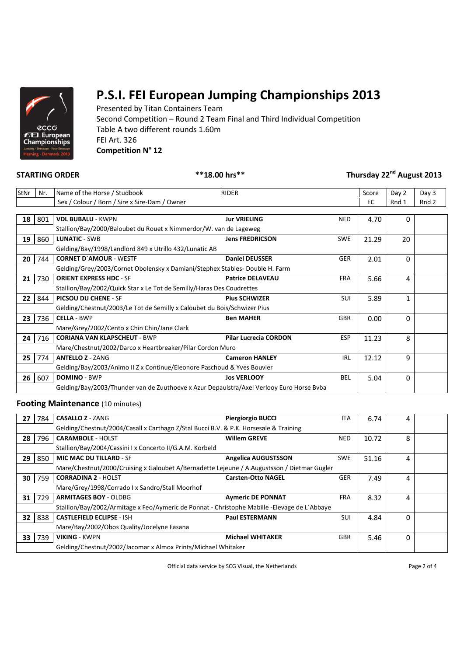

Presented by Titan Containers Team Second Competition – Round 2 Team Final and Third Individual Competition Table A two different rounds 1.60m FEI Art. 326 **Competition N° 12**

### **STARTING ORDER \*\*18.00 hrs\*\* Thursday 22nd August 2013**

| StNr | Nr. | <b>RIDER</b><br>Name of the Horse / Studbook                                             |                                            | Score | Day 2        | Day 3 |
|------|-----|------------------------------------------------------------------------------------------|--------------------------------------------|-------|--------------|-------|
|      |     | Sex / Colour / Born / Sire x Sire-Dam / Owner                                            |                                            |       | Rnd 1        | Rnd 2 |
|      |     |                                                                                          |                                            |       |              |       |
| 18   | 801 | <b>VDL BUBALU - KWPN</b>                                                                 | <b>Jur VRIELING</b><br><b>NED</b>          | 4.70  | 0            |       |
|      |     | Stallion/Bay/2000/Baloubet du Rouet x Nimmerdor/W. van de Lageweg                        |                                            |       |              |       |
| 19   | 860 | <b>LUNATIC - SWB</b>                                                                     | <b>Jens FREDRICSON</b><br><b>SWE</b>       | 21.29 | 20           |       |
|      |     | Gelding/Bay/1998/Landlord 849 x Utrillo 432/Lunatic AB                                   |                                            |       |              |       |
| 20   | 744 | <b>CORNET D'AMOUR - WESTF</b>                                                            | <b>Daniel DEUSSER</b><br><b>GER</b>        | 2.01  | $\Omega$     |       |
|      |     | Gelding/Grey/2003/Cornet Obolensky x Damiani/Stephex Stables- Double H. Farm             |                                            |       |              |       |
| 21   | 730 | <b>ORIENT EXPRESS HDC - SF</b>                                                           | <b>Patrice DELAVEAU</b><br><b>FRA</b>      | 5.66  | 4            |       |
|      |     | Stallion/Bay/2002/Quick Star x Le Tot de Semilly/Haras Des Coudrettes                    |                                            |       |              |       |
| 22   | 844 | <b>PICSOU DU CHENE - SF</b>                                                              | <b>Pius SCHWIZER</b><br><b>SUI</b>         | 5.89  | $\mathbf{1}$ |       |
|      |     | Gelding/Chestnut/2003/Le Tot de Semilly x Caloubet du Bois/Schwizer Pius                 |                                            |       |              |       |
| 23   | 736 | <b>CELLA - BWP</b>                                                                       | <b>GBR</b><br><b>Ben MAHER</b>             | 0.00  | $\Omega$     |       |
|      |     | Mare/Grey/2002/Cento x Chin Chin/Jane Clark                                              |                                            |       |              |       |
| 24   | 716 | <b>CORIANA VAN KLAPSCHEUT - BWP</b>                                                      | <b>Pilar Lucrecia CORDON</b><br><b>ESP</b> | 11.23 | 8            |       |
|      |     | Mare/Chestnut/2002/Darco x Heartbreaker/Pilar Cordon Muro                                |                                            |       |              |       |
| 25   | 774 | <b>ANTELLO Z - ZANG</b>                                                                  | <b>Cameron HANLEY</b><br><b>IRL</b>        | 12.12 | 9            |       |
|      |     | Gelding/Bay/2003/Animo II Z x Continue/Eleonore Paschoud & Yves Bouvier                  |                                            |       |              |       |
| 26   | 607 | <b>DOMINO - BWP</b>                                                                      | <b>Jos VERLOOY</b><br><b>BEL</b>           | 5.04  | 0            |       |
|      |     | Gelding/Bay/2003/Thunder van de Zuuthoeve x Azur Depaulstra/Axel Verlooy Euro Horse Bvba |                                            |       |              |       |

### **Footing Maintenance** (10 minutes)

| 27                                                                                           | 784 | <b>CASALLO Z - ZANG</b>                                                                     | <b>Piergiorgio BUCCI</b>  | <b>ITA</b> | 6.74  | 4        |  |
|----------------------------------------------------------------------------------------------|-----|---------------------------------------------------------------------------------------------|---------------------------|------------|-------|----------|--|
| Gelding/Chestnut/2004/Casall x Carthago Z/Stal Bucci B.V. & P.K. Horsesale & Training        |     |                                                                                             |                           |            |       |          |  |
| 28                                                                                           | 796 | <b>CARAMBOLE - HOLST</b>                                                                    | <b>Willem GREVE</b>       | <b>NED</b> | 10.72 | 8        |  |
|                                                                                              |     | Stallion/Bay/2004/Cassini I x Concerto II/G.A.M. Korbeld                                    |                           |            |       |          |  |
| 29                                                                                           | 850 | <b>MIC MAC DU TILLARD - SF</b>                                                              | Angelica AUGUSTSSON       | <b>SWE</b> | 51.16 | 4        |  |
|                                                                                              |     | Mare/Chestnut/2000/Cruising x Galoubet A/Bernadette Lejeune / A.Augustsson / Dietmar Gugler |                           |            |       |          |  |
| 30                                                                                           | 759 | <b>CORRADINA 2 - HOLST</b>                                                                  | <b>Carsten-Otto NAGEL</b> | <b>GER</b> | 7.49  | 4        |  |
|                                                                                              |     | Mare/Grey/1998/Corrado I x Sandro/Stall Moorhof                                             |                           |            |       |          |  |
| 31                                                                                           | 729 | <b>ARMITAGES BOY - OLDBG</b>                                                                | <b>Aymeric DE PONNAT</b>  | <b>FRA</b> | 8.32  | 4        |  |
| Stallion/Bay/2002/Armitage x Feo/Aymeric de Ponnat - Christophe Mabille -Elevage de L'Abbaye |     |                                                                                             |                           |            |       |          |  |
| 32                                                                                           | 838 | <b>CASTLEFIELD ECLIPSE - ISH</b>                                                            | <b>Paul ESTERMANN</b>     | <b>SUI</b> | 4.84  | 0        |  |
|                                                                                              |     | Mare/Bay/2002/Obos Quality/Jocelyne Fasana                                                  |                           |            |       |          |  |
| 33                                                                                           | 739 | <b>VIKING - KWPN</b>                                                                        | <b>Michael WHITAKER</b>   | <b>GBR</b> | 5.46  | $\Omega$ |  |
| Gelding/Chestnut/2002/Jacomar x Almox Prints/Michael Whitaker                                |     |                                                                                             |                           |            |       |          |  |

Official data service by SCG Visual, the Netherlands Page 2 of 4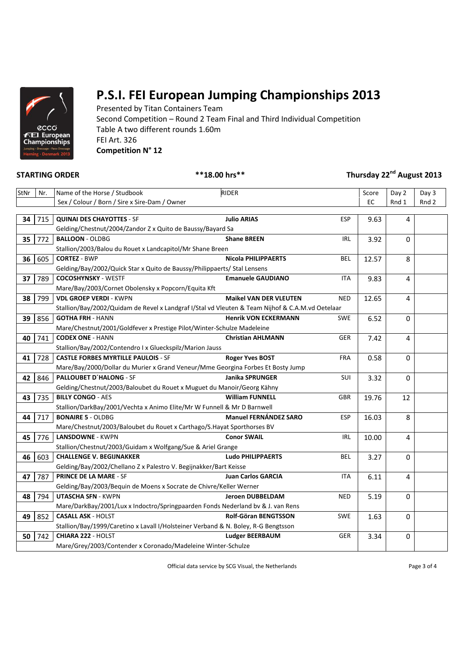

Presented by Titan Containers Team Second Competition – Round 2 Team Final and Third Individual Competition Table A two different rounds 1.60m FEI Art. 326 **Competition N° 12**

### **STARTING ORDER \*\*18.00 hrs\*\* Thursday 22nd August 2013**

| StNr | Nr. | Name of the Horse / Studbook                                                                     | <b>RIDER</b>                  |            | Score | Day 2          | Day 3 |
|------|-----|--------------------------------------------------------------------------------------------------|-------------------------------|------------|-------|----------------|-------|
|      |     | Sex / Colour / Born / Sire x Sire-Dam / Owner                                                    |                               |            | EC    | Rnd 1          | Rnd 2 |
|      |     |                                                                                                  |                               |            |       |                |       |
| 34   | 715 | <b>QUINAI DES CHAYOTTES - SF</b>                                                                 | <b>Julio ARIAS</b>            | <b>ESP</b> | 9.63  | 4              |       |
|      |     | Gelding/Chestnut/2004/Zandor Z x Quito de Baussy/Bayard Sa                                       |                               |            |       |                |       |
| 35   | 772 | <b>BALLOON - OLDBG</b>                                                                           | <b>Shane BREEN</b>            | <b>IRL</b> | 3.92  | $\Omega$       |       |
|      |     | Stallion/2003/Balou du Rouet x Landcapitol/Mr Shane Breen                                        |                               |            |       |                |       |
| 36   | 605 | <b>CORTEZ - BWP</b>                                                                              | <b>Nicola PHILIPPAERTS</b>    | <b>BEL</b> | 12.57 | 8              |       |
|      |     | Gelding/Bay/2002/Quick Star x Quito de Baussy/Philippaerts/ Stal Lensens                         |                               |            |       |                |       |
| 37   | 789 | <b>COCOSHYNSKY - WESTF</b>                                                                       | <b>Emanuele GAUDIANO</b>      | <b>ITA</b> | 9.83  | 4              |       |
|      |     | Mare/Bay/2003/Cornet Obolensky x Popcorn/Equita Kft                                              |                               |            |       |                |       |
| 38   | 799 | <b>VDL GROEP VERDI - KWPN</b>                                                                    | <b>Maikel VAN DER VLEUTEN</b> | <b>NED</b> | 12.65 | $\overline{4}$ |       |
|      |     | Stallion/Bay/2002/Quidam de Revel x Landgraf I/Stal vd Vleuten & Team Nijhof & C.A.M.vd Oetelaar |                               |            |       |                |       |
| 39   | 856 | <b>GOTHA FRH - HANN</b>                                                                          | <b>Henrik VON ECKERMANN</b>   | <b>SWE</b> | 6.52  | $\Omega$       |       |
|      |     | Mare/Chestnut/2001/Goldfever x Prestige Pilot/Winter-Schulze Madeleine                           |                               |            |       |                |       |
| 40   | 741 | <b>CODEX ONE - HANN</b>                                                                          | <b>Christian AHLMANN</b>      | <b>GER</b> | 7.42  | 4              |       |
|      |     | Stallion/Bay/2002/Contendro I x Glueckspilz/Marion Jauss                                         |                               |            |       |                |       |
| 41   | 728 | <b>CASTLE FORBES MYRTILLE PAULOIS - SF</b>                                                       | <b>Roger Yves BOST</b>        | <b>FRA</b> | 0.58  | 0              |       |
|      |     | Mare/Bay/2000/Dollar du Murier x Grand Veneur/Mme Georgina Forbes Et Bosty Jump                  |                               |            |       |                |       |
| 42   | 846 | PALLOUBET D'HALONG - SF                                                                          | <b>Janika SPRUNGER</b>        | SUI        | 3.32  | $\Omega$       |       |
|      |     | Gelding/Chestnut/2003/Baloubet du Rouet x Muguet du Manoir/Georg Kähny                           |                               |            |       |                |       |
| 43   | 735 | <b>BILLY CONGO - AES</b>                                                                         | <b>William FUNNELL</b>        | <b>GBR</b> | 19.76 | 12             |       |
|      |     | Stallion/DarkBay/2001/Vechta x Animo Elite/Mr W Funnell & Mr D Barnwell                          |                               |            |       |                |       |
| 44   | 717 | <b>BONAIRE 5 - OLDBG</b>                                                                         | <b>Manuel FERNÁNDEZ SARO</b>  | <b>ESP</b> | 16.03 | 8              |       |
|      |     | Mare/Chestnut/2003/Baloubet du Rouet x Carthago/S. Hayat Sporthorses BV                          |                               |            |       |                |       |
| 45   | 776 | <b>LANSDOWNE - KWPN</b>                                                                          | <b>Conor SWAIL</b>            | <b>IRL</b> | 10.00 | 4              |       |
|      |     | Stallion/Chestnut/2003/Guidam x Wolfgang/Sue & Ariel Grange                                      |                               |            |       |                |       |
| 46   | 603 | <b>CHALLENGE V. BEGIJNAKKER</b>                                                                  | <b>Ludo PHILIPPAERTS</b>      | <b>BEL</b> | 3.27  | 0              |       |
|      |     | Gelding/Bay/2002/Chellano Z x Palestro V. Begijnakker/Bart Keisse                                |                               |            |       |                |       |
| 47   | 787 | <b>PRINCE DE LA MARE - SF</b>                                                                    | <b>Juan Carlos GARCIA</b>     | <b>ITA</b> | 6.11  | 4              |       |
|      |     | Gelding/Bay/2003/Bequin de Moens x Socrate de Chivre/Keller Werner                               |                               |            |       |                |       |
| 48   | 794 | <b>UTASCHA SFN - KWPN</b>                                                                        | <b>Jeroen DUBBELDAM</b>       | <b>NED</b> | 5.19  | 0              |       |
|      |     | Mare/DarkBay/2001/Lux x Indoctro/Springpaarden Fonds Nederland bv & J. van Rens                  |                               |            |       |                |       |
| 49   | 852 | <b>CASALL ASK - HOLST</b>                                                                        | Rolf-Göran BENGTSSON          | <b>SWE</b> | 1.63  | 0              |       |
|      |     | Stallion/Bay/1999/Caretino x Lavall I/Holsteiner Verband & N. Boley, R-G Bengtsson               |                               |            |       |                |       |
| 50   | 742 | CHIARA 222 - HOLST                                                                               | <b>Ludger BEERBAUM</b>        | <b>GER</b> | 3.34  | $\pmb{0}$      |       |
|      |     | Mare/Grey/2003/Contender x Coronado/Madeleine Winter-Schulze                                     |                               |            |       |                |       |

Official data service by SCG Visual, the Netherlands Page 3 of 4